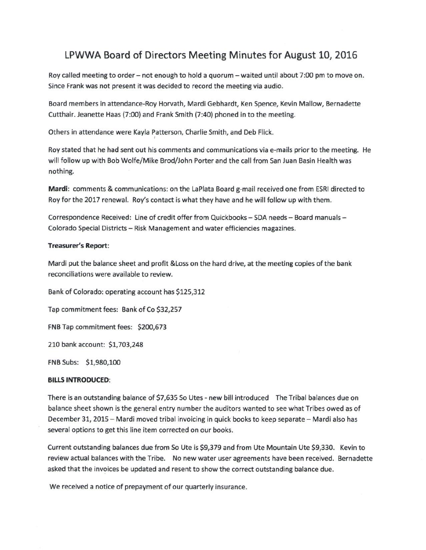## LPWWA Board of Directors Meeting Minutes for August 10, 2016

Roy called meeting to order – not enough to hold a quorum – waited until about 7:00 pm to move on. Since Frank was not present it was decided to record the meeting via audio.

Board members in attendance-Roy Horvath, Mardi Gebhardt, Ken Spence, Kevin Mallow, Bernadette Cutthair. Jeanette Haas (7:00) and Frank Smith (7:40) phoned in to the meeting.

Others in attendance were Kayla Patterson, Charlie Smith, and Deb Flick.

Roy stated that he had sent out his comments and communications via e-mails prior to the meeting. He will follow up with Bob Wolfe/Mike Brod/John Porter and the call from San Juan Basin Health was nothing.

**Mardi:** comments & communications: on the LaPlata Board g-mail received one from ESRI directed to Roy for the 2017 renewal. Roy's contact is what they have and he will follow up with them.

Correspondence Received: Line of credit offer from Quickbooks - SDA needs - Board manuals -Colorado Special Districts - Risk Management and water efficiencies magazines.

## **Treasurer's Report:**

Mardi put the balance sheet and profit &Loss on the hard drive, at the meeting copies of the bank reconciliations were available to review.

Bank of Colorado: operating account has \$125,312

Tap commitment fees: Bank of Co \$32,257

FNB Tap commitment fees: \$200,673

210 bank account: \$1,703,248

FNB Subs: \$1,980,100

## **BILLS INTRODUCED:**

There is an outstanding balance of \$7,635 So Utes - new bill introduced The Tribal balances due on balance sheet shown is the general entry number the auditors wanted to see what Tribes owed as of December 31, 2015 - Mardi moved tribal invoicing in quick books to keep separate - Mardi also has several options to get this line item corrected on our books.

Current outstanding balances due from So Ute is \$9,379 and from Ute Mountain Ute \$9,330. Kevin to review actual balances with the Tribe. No new water user agreements have been received. Bernadette asked that the invoices be updated and resent to show the correct outstanding balance due.

We received a notice of prepayment of our quarterly insurance.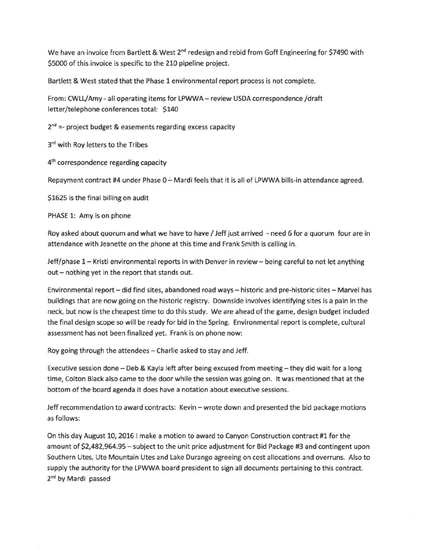We have an invoice from Bartlett & West 2<sup>nd</sup> redesign and rebid from Goff Engineering for \$7490 with \$5000 of this invoice is specific to the 210 pipeline project.

Bartlett & West stated that the Phase 1 environmental report process is not complete.

From: CWLL/Amy - all operating items for LPWWA - review USDA correspondence /draft letter/telephone conferences total: \$140

2<sup>nd</sup> =- project budget & easements regarding excess capacity

3<sup>rd</sup> with Roy letters to the Tribes

4<sup>th</sup> correspondence regarding capacity

Repayment contract #4 under Phase  $0 - \text{Mardi}$  feels that it is all of LPWWA bills-in attendance agreed.

\$1625 is the final billing on audit

PHASE 1: Amy is on phone

Roy asked about quorum and what we have to have / Jeff just arrived - need 6 for a quorum four are in attendance with Jeanette on the phone at this time and Frank Smith is calling in.

Jeff/phase 1 – Kristi environmental reports in with Denver in review – being careful to not let anything out - nothing yet in the report that stands out.

Environmental report - did find sites, abandoned road ways - historic and pre-historic sites - Marvel has buildings that are now going on the historic registry. Downside involves identifying sites is a pain in the neck, but now is the cheapest time to do this study. We are ahead of the game, design budget included the final design scope so will be ready for bid in the Spring. Environmental report is complete, cultural assessment has not been finalized yet. Frank is on phone now:

Roy going through the attendees - Charlie asked to stay and Jeff.

Executive session done - Deb & Kayla left after being excused from meeting - they did wait for a long time, Colton Black also came to the door while the session was going on. It was mentioned that at the bottom of the board agenda it does have a notation about executive sessions.

Jeff recommendation to award contracts: Kevin – wrote down and presented the bid package motions as follows:

On this day August 10, 2016 I make a motion to award to Canyon Construction contract #1 for the amount of \$2,482,964.95 - subject to the unit price adjustment for Bid Package #3 and contingent upon Southern Utes, Ute Mountain Utes and Lake Durango agreeing on cost allocations and overruns. Also to supply the authority for the LPWWA board president to sign all documents pertaining to this contract. 2<sup>nd</sup> by Mardi passed